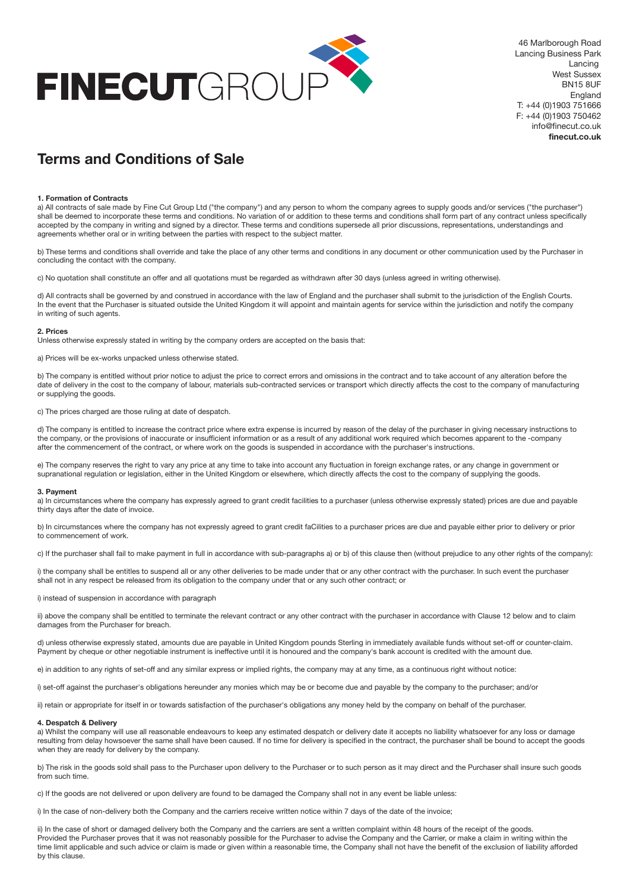

46 Marlborough Road Lancing Business Park Lancing West Sussex BN15 8UF England T: +44 (0)1903 751666 F: +44 (0)1903 750462 info@finecut.co.uk **finecut.co.uk**

# **Terms and Conditions of Sale**

#### **1. Formation of Contracts**

a) All contracts of sale made by Fine Cut Group Ltd ("the company") and any person to whom the company agrees to supply goods and/or services ("the purchaser") shall be deemed to incorporate these terms and conditions. No variation of or addition to these terms and conditions shall form part of any contract unless specifically accepted by the company in writing and signed by a director. These terms and conditions supersede all prior discussions, representations, understandings and agreements whether oral or in writing between the parties with respect to the subject matter.

b) These terms and conditions shall override and take the place of any other terms and conditions in any document or other communication used by the Purchaser in concluding the contact with the company.

c) No quotation shall constitute an offer and all quotations must be regarded as withdrawn after 30 days (unless agreed in writing otherwise).

d) All contracts shall be governed by and construed in accordance with the law of England and the purchaser shall submit to the jurisdiction of the English Courts. In the event that the Purchaser is situated outside the United Kingdom it will appoint and maintain agents for service within the jurisdiction and notify the company in writing of such agents.

#### **2. Prices**

Unless otherwise expressly stated in writing by the company orders are accepted on the basis that:

a) Prices will be ex-works unpacked unless otherwise stated.

b) The company is entitled without prior notice to adjust the price to correct errors and omissions in the contract and to take account of any alteration before the date of delivery in the cost to the company of labour, materials sub-contracted services or transport which directly affects the cost to the company of manufacturing or supplying the goods.

c) The prices charged are those ruling at date of despatch.

d) The company is entitled to increase the contract price where extra expense is incurred by reason of the delay of the purchaser in giving necessary instructions to the company, or the provisions of inaccurate or insufficient information or as a result of any additional work required which becomes apparent to the -company after the commencement of the contract, or where work on the goods is suspended in accordance with the purchaser's instructions.

e) The company reserves the right to vary any price at any time to take into account any fluctuation in foreign exchange rates, or any change in government or supranational regulation or legislation, either in the United Kingdom or elsewhere, which directly affects the cost to the company of supplying the goods.

#### **3. Payment**

a) In circumstances where the company has expressly agreed to grant credit facilities to a purchaser (unless otherwise expressly stated) prices are due and payable thirty days after the date of invoice.

b) In circumstances where the company has not expressly agreed to grant credit faCilities to a purchaser prices are due and payable either prior to delivery or prior to commencement of work.

c) If the purchaser shall fail to make payment in full in accordance with sub-paragraphs a) or b) of this clause then (without prejudice to any other rights of the company):

i) the company shall be entitles to suspend all or any other deliveries to be made under that or any other contract with the purchaser. In such event the purchaser shall not in any respect be released from its obligation to the company under that or any such other contract; or

i) instead of suspension in accordance with paragraph

ii) above the company shall be entitled to terminate the relevant contract or any other contract with the purchaser in accordance with Clause 12 below and to claim damages from the Purchaser for breach.

d) unless otherwise expressly stated, amounts due are payable in United Kingdom pounds Sterling in immediately available funds without set-off or counter-claim. Payment by cheque or other negotiable instrument is ineffective until it is honoured and the company's bank account is credited with the amount due.

e) in addition to any rights of set-off and any similar express or implied rights, the company may at any time, as a continuous right without notice:

i) set-off against the purchaser's obligations hereunder any monies which may be or become due and payable by the company to the purchaser; and/or

ii) retain or appropriate for itself in or towards satisfaction of the purchaser's obligations any money held by the company on behalf of the purchaser.

# **4. Despatch & Delivery**

a) Whilst the company will use all reasonable endeavours to keep any estimated despatch or delivery date it accepts no liability whatsoever for any loss or damage resulting from delay howsoever the same shall have been caused. If no time for delivery is specified in the contract, the purchaser shall be bound to accept the goods when they are ready for delivery by the company.

b) The risk in the goods sold shall pass to the Purchaser upon delivery to the Purchaser or to such person as it may direct and the Purchaser shall insure such goods from such time.

c) If the goods are not delivered or upon delivery are found to be damaged the Company shall not in any event be liable unless:

i) In the case of non-delivery both the Company and the carriers receive written notice within 7 days of the date of the invoice;

ii) In the case of short or damaged delivery both the Company and the carriers are sent a written complaint within 48 hours of the receipt of the goods. Provided the Purchaser proves that it was not reasonably possible for the Purchaser to advise the Company and the Carrier, or make a claim in writing within the time limit applicable and such advice or claim is made or given within a reasonable time, the Company shall not have the benefit of the exclusion of liability afforded by this clause.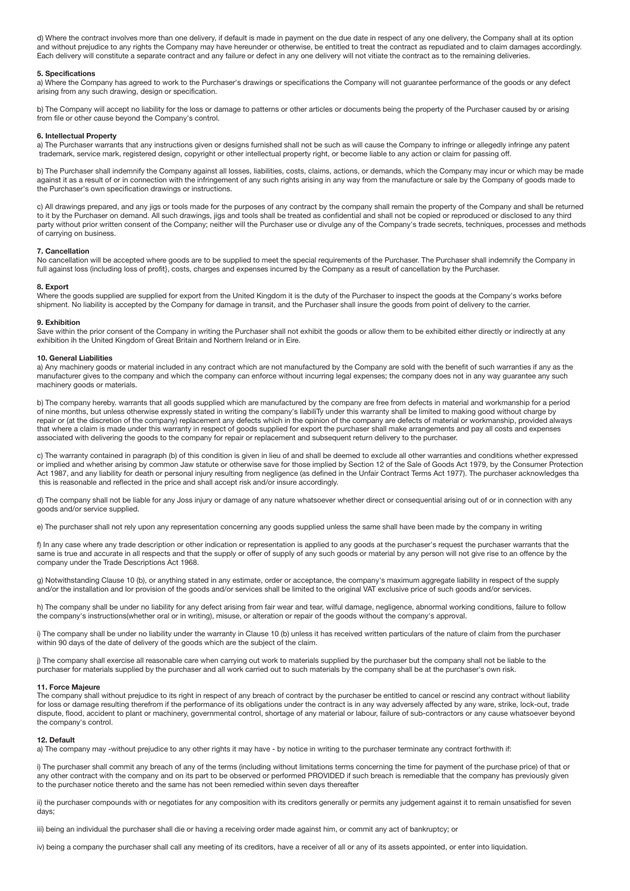d) Where the contract involves more than one delivery, if default is made in payment on the due date in respect of any one delivery, the Company shall at its option and without prejudice to any rights the Company may have hereunder or otherwise, be entitled to treat the contract as repudiated and to claim damages accordingly. Each delivery will constitute a separate contract and any failure or defect in any one delivery will not vitiate the contract as to the remaining deliveries.

# **5. Specifications**

a) Where the Company has agreed to work to the Purchaser's drawings or specifications the Company will not guarantee performance of the goods or any defect arising from any such drawing, design or specification.

b) The Company will accept no liability for the loss or damage to patterns or other articles or documents being the property of the Purchaser caused by or arising from file or other cause beyond the Company's control.

### **6. Intellectual Property**

a) The Purchaser warrants that any instructions given or designs furnished shall not be such as will cause the Company to infringe or allegedly infringe any patent trademark, service mark, registered design, copyright or other intellectual property right, or become liable to any action or claim for passing off.

b) The Purchaser shall indemnify the Company against all losses, liabilities, costs, claims, actions, or demands, which the Company may incur or which may be made against it as a result of or in connection with the infringement of any such rights arising in any way from the manufacture or sale by the Company of goods made to the Purchaser's own specification drawings or instructions.

c) All drawings prepared, and any jigs or tools made for the purposes of any contract by the company shall remain the property of the Company and shall be returned to it by the Purchaser on demand. All such drawings, jigs and tools shall be treated as confidential and shall not be copied or reproduced or disclosed to any third party without prior written consent of the Company; neither will the Purchaser use or divulge any of the Company's trade secrets, techniques, processes and methods of carrying on business.

## **7. Cancellation**

No cancellation will be accepted where goods are to be supplied to meet the special requirements of the Purchaser. The Purchaser shall indemnify the Company in full against loss (including loss of profit}, costs, charges and expenses incurred by the Company as a result of cancellation by the Purchaser.

## **8. Export**

Where the goods supplied are supplied for export from the United Kingdom it is the duty of the Purchaser to inspect the goods at the Company's works before shipment. No liability is accepted by the Company for damage in transit, and the Purchaser shall insure the goods from point of delivery to the carrier.

#### **9. Exhibition**

Save within the prior consent of the Company in writing the Purchaser shall not exhibit the goods or allow them to be exhibited either directly or indirectly at any exhibition ih the United Kingdom of Great Britain and Northern Ireland or in Eire.

#### **10. General Liabilities**

a) Any machinery goods or material included in any contract which are not manufactured by the Company are sold with the benefit of such warranties if any as the manufacturer gives to the company and which the company can enforce without incurring legal expenses; the company does not in any way guarantee any such machinery goods or materials.

b) The company hereby. warrants that all goods supplied which are manufactured by the company are free from defects in material and workmanship for a period of nine months, but unless otherwise expressly stated in writing the company's liabiliTy under this warranty shall be limited to making good without charge by repair or (at the discretion of the company) replacement any defects which in the opinion of the company are defects of material or workmanship, provided always that where a claim is made under this warranty in respect of goods supplied for export the purchaser shall make arrangements and pay all costs and expenses associated with delivering the goods to the company for repair or replacement and subsequent return delivery to the purchaser.

c) The warranty contained in paragraph (b) of this condition is given in lieu of and shall be deemed to exclude all other warranties and conditions whether expressed or implied and whether arising by common Jaw statute or otherwise save for those implied by Section 12 of the Sale of Goods Act 1979, by the Consumer Protection Act 1987, and any liability for death or personal injury resulting from negligence (as defined in the Unfair Contract Terms Act 1977). The purchaser acknowledges tha this is reasonable and reflected in the price and shall accept risk and/or insure accordingly.

d) The company shall not be liable for any Joss injury or damage of any nature whatsoever whether direct or consequential arising out of or in connection with any goods and/or service supplied.

e) The purchaser shall not rely upon any representation concerning any goods supplied unless the same shall have been made by the company in writing

f) In any case where any trade description or other indication or representation is applied to any goods at the purchaser's request the purchaser warrants that the same is true and accurate in all respects and that the supply or offer of supply of any such goods or material by any person will not give rise to an offence by the company under the Trade Descriptions Act 1968.

g) Notwithstanding Clause 10 (b), or anything stated in any estimate, order or acceptance, the company's maximum aggregate liability in respect of the supply and/or the installation and lor provision of the goods and/or services shall be limited to the original VAT exclusive price of such goods and/or services.

h) The company shall be under no liability for any defect arising from fair wear and tear, wilful damage, negligence, abnormal working conditions, failure to follow the company's instructions(whether oral or in writing), misuse, or alteration or repair of the goods without the company's approval.

i) The company shall be under no liability under the warranty in Clause 10 (b) unless it has received written particulars of the nature of claim from the purchaser within 90 days of the date of delivery of the goods which are the subject of the claim.

j) The company shall exercise all reasonable care when carrying out work to materials supplied by the purchaser but the company shall not be liable to the purchaser for materials supplied by the purchaser and all work carried out to such materials by the company shall be at the purchaser's own risk.

#### **11. Force Majeure**

The company shall without prejudice to its right in respect of any breach of contract by the purchaser be entitled to cancel or rescind any contract without liability for loss or damage resulting therefrom if the performance of its obligations under the contract is in any way adversely affected by any ware, strike, lock-out, trade dispute, flood, accident to plant or machinery, governmental control, shortage of any material or labour, failure of sub-contractors or any cause whatsoever beyond the company's control.

## **12. Default**

a) The company may -without prejudice to any other rights it may have - by notice in writing to the purchaser terminate any contract forthwith if:

i) The purchaser shall commit any breach of any of the terms (including without limitations terms concerning the time for payment of the purchase price) of that or any other contract with the company and on its part to be observed or performed PROVIDED if such breach is remediable that the company has previously given to the purchaser notice thereto and the same has not been remedied within seven days thereafter

ii) the purchaser compounds with or negotiates for any composition with its creditors generally or permits any judgement against it to remain unsatisfied for seven days;

iii) being an individual the purchaser shall die or having a receiving order made against him, or commit any act of bankruptcy; or

iv) being a company the purchaser shall call any meeting of its creditors, have a receiver of all or any of its assets appointed, or enter into liquidation.